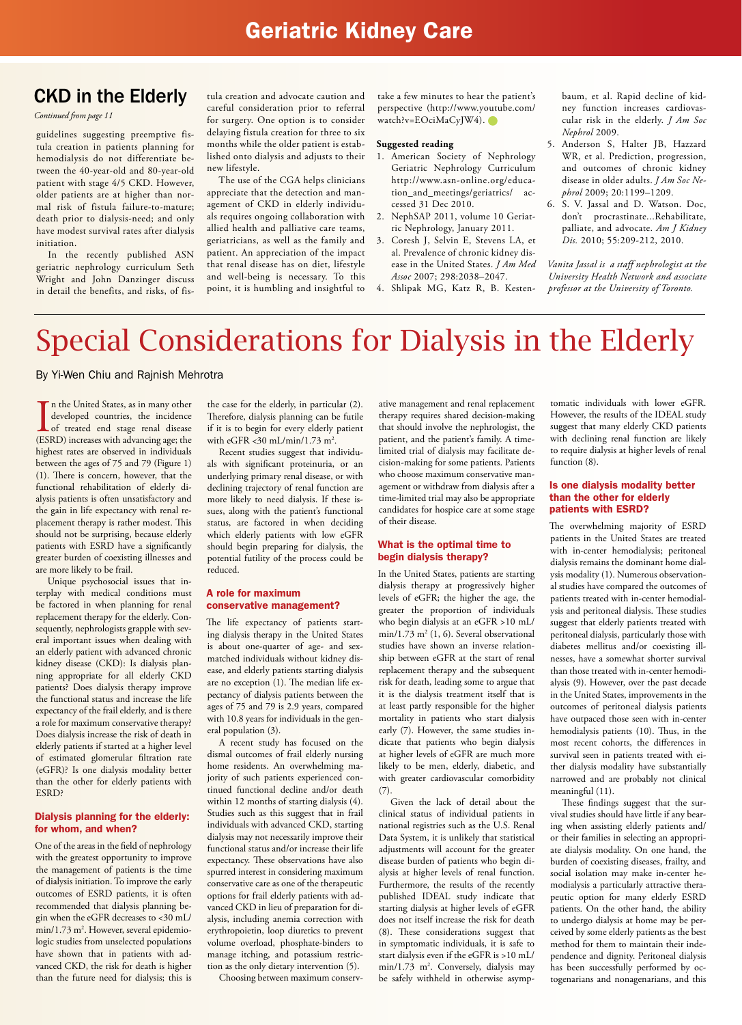### **Geriatric Kidney Care**

### CKD in the Elderly

*Continued from page 11*

guidelines suggesting preemptive fistula creation in patients planning for hemodialysis do not differentiate between the 40-year-old and 80-year-old patient with stage 4/5 CKD. However, older patients are at higher than normal risk of fistula failure-to-mature; death prior to dialysis-need; and only have modest survival rates after dialysis initiation.

In the recently published ASN geriatric nephrology curriculum Seth Wright and John Danzinger discuss in detail the benefits, and risks, of fis-

tula creation and advocate caution and careful consideration prior to referral for surgery. One option is to consider delaying fistula creation for three to six months while the older patient is established onto dialysis and adjusts to their new lifestyle.

The use of the CGA helps clinicians appreciate that the detection and management of CKD in elderly individuals requires ongoing collaboration with allied health and palliative care teams, geriatricians, as well as the family and patient. An appreciation of the impact that renal disease has on diet, lifestyle and well-being is necessary. To this point, it is humbling and insightful to take a few minutes to hear the patient's perspective (http://www.youtube.com/ watch?v=EOciMaCyJW4).

#### **Suggested reading**

- 1. American Society of Nephrology Geriatric Nephrology Curriculum http://www.asn-online.org/education\_and\_meetings/geriatrics/ accessed 31 Dec 2010.
- 2. NephSAP 2011, volume 10 Geriatric Nephrology, January 2011.
- 3. Coresh J, Selvin E, Stevens LA, et al. Prevalence of chronic kidney disease in the United States. *J Am Med Assoc* 2007; 298:2038–2047.

4. Shlipak MG, Katz R, B. Kesten-

baum, et al. Rapid decline of kidney function increases cardiovascular risk in the elderly. *J Am Soc Nephrol* 2009.

- 5. Anderson S, Halter JB, Hazzard WR, et al. Prediction, progression, and outcomes of chronic kidney disease in older adults. *J Am Soc Nephrol* 2009; 20:1199–1209.
- 6. S. V. Jassal and D. Watson. Doc, don't procrastinate...Rehabilitate, palliate, and advocate. *Am J Kidney Dis.* 2010; 55:209-212, 2010.

*Vanita Jassal is a staff nephrologist at the University Health Network and associate professor at the University of Toronto.*

## Special Considerations for Dialysis in the Elderly

#### By Yi-Wen Chiu and Rajnish Mehrotra

In the United States, as in many other<br>developed countries, the incidence<br>of treated end stage renal disease<br>(ESRD) increases with advancing age; the n the United States, as in many other developed countries, the incidence of treated end stage renal disease highest rates are observed in individuals between the ages of 75 and 79 (Figure 1) (1). There is concern, however, that the functional rehabilitation of elderly dialysis patients is often unsatisfactory and the gain in life expectancy with renal replacement therapy is rather modest. This should not be surprising, because elderly patients with ESRD have a significantly greater burden of coexisting illnesses and are more likely to be frail.

Unique psychosocial issues that interplay with medical conditions must be factored in when planning for renal replacement therapy for the elderly. Consequently, nephrologists grapple with several important issues when dealing with an elderly patient with advanced chronic kidney disease (CKD): Is dialysis planning appropriate for all elderly CKD patients? Does dialysis therapy improve the functional status and increase the life expectancy of the frail elderly, and is there a role for maximum conservative therapy? Does dialysis increase the risk of death in elderly patients if started at a higher level of estimated glomerular filtration rate (eGFR)? Is one dialysis modality better than the other for elderly patients with ESRD?

#### Dialysis planning for the elderly: for whom, and when?

One of the areas in the field of nephrology with the greatest opportunity to improve the management of patients is the time of dialysis initiation. To improve the early outcomes of ESRD patients, it is often recommended that dialysis planning begin when the eGFR decreases to <30 mL/ min/1.73 m<sup>2</sup>. However, several epidemiologic studies from unselected populations have shown that in patients with advanced CKD, the risk for death is higher than the future need for dialysis; this is

the case for the elderly, in particular (2). Therefore, dialysis planning can be futile if it is to begin for every elderly patient with eGFR <30 mL/min/1.73 m2 .

Recent studies suggest that individuals with significant proteinuria, or an underlying primary renal disease, or with declining trajectory of renal function are more likely to need dialysis. If these issues, along with the patient's functional status, are factored in when deciding which elderly patients with low eGFR should begin preparing for dialysis, the potential futility of the process could be reduced.

#### A role for maximum conservative management?

The life expectancy of patients starting dialysis therapy in the United States is about one-quarter of age- and sexmatched individuals without kidney disease, and elderly patients starting dialysis are no exception (1). The median life expectancy of dialysis patients between the ages of 75 and 79 is 2.9 years, compared with 10.8 years for individuals in the general population (3).

A recent study has focused on the dismal outcomes of frail elderly nursing home residents. An overwhelming majority of such patients experienced continued functional decline and/or death within 12 months of starting dialysis (4). Studies such as this suggest that in frail individuals with advanced CKD, starting dialysis may not necessarily improve their functional status and/or increase their life expectancy. These observations have also spurred interest in considering maximum conservative care as one of the therapeutic options for frail elderly patients with advanced CKD in lieu of preparation for dialysis, including anemia correction with erythropoietin, loop diuretics to prevent volume overload, phosphate-binders to manage itching, and potassium restriction as the only dietary intervention (5).

Choosing between maximum conserv-

ative management and renal replacement therapy requires shared decision-making that should involve the nephrologist, the patient, and the patient's family. A timelimited trial of dialysis may facilitate decision-making for some patients. Patients who choose maximum conservative management or withdraw from dialysis after a time-limited trial may also be appropriate candidates for hospice care at some stage of their disease.

#### What is the optimal time to begin dialysis therapy?

In the United States, patients are starting dialysis therapy at progressively higher levels of eGFR; the higher the age, the greater the proportion of individuals who begin dialysis at an eGFR >10 mL/ min/1.73 m2 (1, 6). Several observational studies have shown an inverse relationship between eGFR at the start of renal replacement therapy and the subsequent risk for death, leading some to argue that it is the dialysis treatment itself that is at least partly responsible for the higher mortality in patients who start dialysis early (7). However, the same studies indicate that patients who begin dialysis at higher levels of eGFR are much more likely to be men, elderly, diabetic, and with greater cardiovascular comorbidity (7).

Given the lack of detail about the clinical status of individual patients in national registries such as the U.S. Renal Data System, it is unlikely that statistical adjustments will account for the greater disease burden of patients who begin dialysis at higher levels of renal function. Furthermore, the results of the recently published IDEAL study indicate that starting dialysis at higher levels of eGFR does not itself increase the risk for death (8). These considerations suggest that in symptomatic individuals, it is safe to start dialysis even if the eGFR is >10 mL/ min/1.73 m<sup>2</sup>. Conversely, dialysis may be safely withheld in otherwise asymp-

tomatic individuals with lower eGFR. However, the results of the IDEAL study suggest that many elderly CKD patients with declining renal function are likely to require dialysis at higher levels of renal function  $(8)$ .

#### Is one dialysis modality better than the other for elderly patients with ESRD?

The overwhelming majority of ESRD patients in the United States are treated with in-center hemodialysis; peritoneal dialysis remains the dominant home dialysis modality (1). Numerous observational studies have compared the outcomes of patients treated with in-center hemodialysis and peritoneal dialysis. These studies suggest that elderly patients treated with peritoneal dialysis, particularly those with diabetes mellitus and/or coexisting illnesses, have a somewhat shorter survival than those treated with in-center hemodialysis (9). However, over the past decade in the United States, improvements in the outcomes of peritoneal dialysis patients have outpaced those seen with in-center hemodialysis patients (10). Thus, in the most recent cohorts, the differences in survival seen in patients treated with either dialysis modality have substantially narrowed and are probably not clinical meaningful (11).

These findings suggest that the survival studies should have little if any bearing when assisting elderly patients and/ or their families in selecting an appropriate dialysis modality. On one hand, the burden of coexisting diseases, frailty, and social isolation may make in-center hemodialysis a particularly attractive therapeutic option for many elderly ESRD patients. On the other hand, the ability to undergo dialysis at home may be perceived by some elderly patients as the best method for them to maintain their independence and dignity. Peritoneal dialysis has been successfully performed by octogenarians and nonagenarians, and this